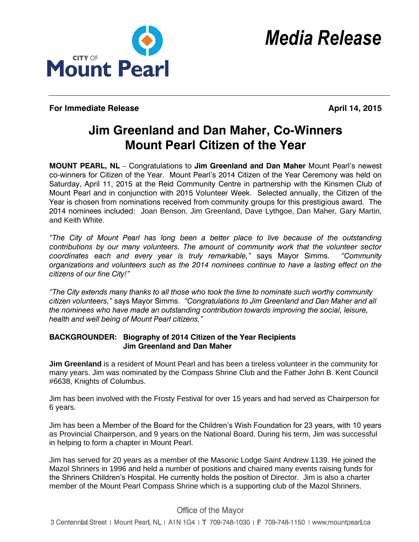

**For Immediate Release April 14, 2015** 

## **Jim Greenland and Dan Maher, Co-Winners Mount Pearl Citizen of the Year**

**MOUNT PEARL, NL** – Congratulations to **Jim Greenland and Dan Maher** Mount Pearl's newest co-winners for Citizen of the Year. Mount Pearl's 2014 Citizen of the Year Ceremony was held on Saturday, April 11, 2015 at the Reid Community Centre in partnership with the Kinsmen Club of Mount Pearl and in conjunction with 2015 Volunteer Week. Selected annually, the Citizen of the Year is chosen from nominations received from community groups for this prestigious award. The 2014 nominees included: Joan Benson, Jim Greenland, Dave Lythgoe, Dan Maher, Gary Martin, and Keith White.

*"The City of Mount Pearl has long been a better place to live because of the outstanding contributions by our many volunteers. The amount of community work that the volunteer sector coordinates each and every year is truly remarkable,"* says Mayor Simms. *"Community organizations and volunteers such as the 2014 nominees continue to have a lasting effect on the citizens of our fine City!"*

*"The City extends many thanks to all those who took the time to nominate such worthy community citizen volunteers,"* says Mayor Simms. *"Congratulations to Jim Greenland and Dan Maher and all the nominees who have made an outstanding contribution towards improving the social, leisure, health and well being of Mount Pearl citizens."*

## **BACKGROUNDER: Biography of 2014 Citizen of the Year Recipients Jim Greenland and Dan Maher**

**Jim Greenland** is a resident of Mount Pearl and has been a tireless volunteer in the community for many years. Jim was nominated by the Compass Shrine Club and the Father John B. Kent Council #6638, Knights of Columbus.

Jim has been involved with the Frosty Festival for over 15 years and had served as Chairperson for 6 years.

Jim has been a Member of the Board for the Children's Wish Foundation for 23 years, with 10 years as Provincial Chairperson, and 9 years on the National Board. During his term, Jim was successful in helping to form a chapter in Mount Pearl.

Jim has served for 20 years as a member of the Masonic Lodge Saint Andrew 1139. He joined the Mazol Shriners in 1996 and held a number of positions and chaired many events raising funds for the Shriners Children's Hospital. He currently holds the position of Director. Jim is also a charter member of the Mount Pearl Compass Shrine which is a supporting club of the Mazol Shriners.

## **Office of the Mayor**